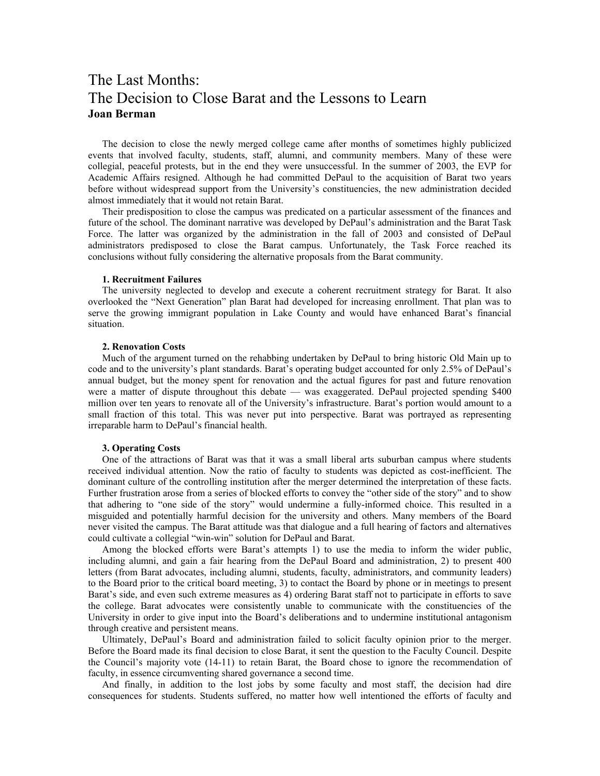## The Last Months: The Decision to Close Barat and the Lessons to Learn **Joan Berman**

The decision to close the newly merged college came after months of sometimes highly publicized events that involved faculty, students, staff, alumni, and community members. Many of these were collegial, peaceful protests, but in the end they were unsuccessful. In the summer of 2003, the EVP for Academic Affairs resigned. Although he had committed DePaul to the acquisition of Barat two years before without widespread support from the University's constituencies, the new administration decided almost immediately that it would not retain Barat.

Their predisposition to close the campus was predicated on a particular assessment of the finances and future of the school. The dominant narrative was developed by DePaul's administration and the Barat Task Force. The latter was organized by the administration in the fall of 2003 and consisted of DePaul administrators predisposed to close the Barat campus. Unfortunately, the Task Force reached its conclusions without fully considering the alternative proposals from the Barat community.

## **1. Recruitment Failures**

The university neglected to develop and execute a coherent recruitment strategy for Barat. It also overlooked the "Next Generation" plan Barat had developed for increasing enrollment. That plan was to serve the growing immigrant population in Lake County and would have enhanced Barat's financial situation.

## **2. Renovation Costs**

Much of the argument turned on the rehabbing undertaken by DePaul to bring historic Old Main up to code and to the university's plant standards. Barat's operating budget accounted for only 2.5% of DePaul's annual budget, but the money spent for renovation and the actual figures for past and future renovation were a matter of dispute throughout this debate — was exaggerated. DePaul projected spending \$400 million over ten years to renovate all of the University's infrastructure. Barat's portion would amount to a small fraction of this total. This was never put into perspective. Barat was portrayed as representing irreparable harm to DePaul's financial health.

## **3. Operating Costs**

One of the attractions of Barat was that it was a small liberal arts suburban campus where students received individual attention. Now the ratio of faculty to students was depicted as cost-inefficient. The dominant culture of the controlling institution after the merger determined the interpretation of these facts. Further frustration arose from a series of blocked efforts to convey the "other side of the story" and to show that adhering to "one side of the story" would undermine a fully-informed choice. This resulted in a misguided and potentially harmful decision for the university and others. Many members of the Board never visited the campus. The Barat attitude was that dialogue and a full hearing of factors and alternatives could cultivate a collegial "win-win" solution for DePaul and Barat.

Among the blocked efforts were Barat's attempts 1) to use the media to inform the wider public, including alumni, and gain a fair hearing from the DePaul Board and administration, 2) to present 400 letters (from Barat advocates, including alumni, students, faculty, administrators, and community leaders) to the Board prior to the critical board meeting, 3) to contact the Board by phone or in meetings to present Barat's side, and even such extreme measures as 4) ordering Barat staff not to participate in efforts to save the college. Barat advocates were consistently unable to communicate with the constituencies of the University in order to give input into the Board's deliberations and to undermine institutional antagonism through creative and persistent means.

Ultimately, DePaul's Board and administration failed to solicit faculty opinion prior to the merger. Before the Board made its final decision to close Barat, it sent the question to the Faculty Council. Despite the Council's majority vote (14-11) to retain Barat, the Board chose to ignore the recommendation of faculty, in essence circumventing shared governance a second time.

And finally, in addition to the lost jobs by some faculty and most staff, the decision had dire consequences for students. Students suffered, no matter how well intentioned the efforts of faculty and